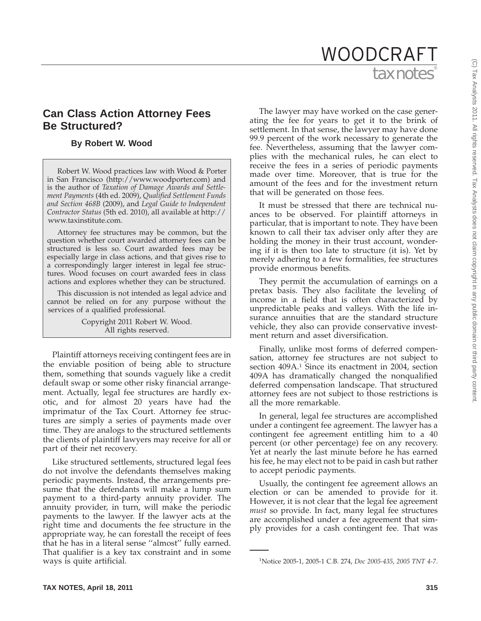# tax notes WOODCRAFT

# **Can Class Action Attorney Fees Be Structured?**

# **By Robert W. Wood**

Robert W. Wood practices law with Wood & Porter in San Francisco (http://www.woodporter.com) and is the author of *Taxation of Damage Awards and Settlement Payments* (4th ed. 2009), *Qualified Settlement Funds and Section 468B* (2009), and *Legal Guide to Independent Contractor Status* (5th ed. 2010), all available at http:// www.taxinstitute.com.

Attorney fee structures may be common, but the question whether court awarded attorney fees can be structured is less so. Court awarded fees may be especially large in class actions, and that gives rise to a correspondingly larger interest in legal fee structures. Wood focuses on court awarded fees in class actions and explores whether they can be structured.

This discussion is not intended as legal advice and cannot be relied on for any purpose without the services of a qualified professional.

> Copyright 2011 Robert W. Wood. All rights reserved.

Plaintiff attorneys receiving contingent fees are in the enviable position of being able to structure them, something that sounds vaguely like a credit default swap or some other risky financial arrangement. Actually, legal fee structures are hardly exotic, and for almost 20 years have had the imprimatur of the Tax Court. Attorney fee structures are simply a series of payments made over time. They are analogs to the structured settlements the clients of plaintiff lawyers may receive for all or part of their net recovery.

Like structured settlements, structured legal fees do not involve the defendants themselves making periodic payments. Instead, the arrangements presume that the defendants will make a lump sum payment to a third-party annuity provider. The annuity provider, in turn, will make the periodic payments to the lawyer. If the lawyer acts at the right time and documents the fee structure in the appropriate way, he can forestall the receipt of fees that he has in a literal sense ''almost'' fully earned. That qualifier is a key tax constraint and in some ways is quite artificial.

The lawyer may have worked on the case generating the fee for years to get it to the brink of settlement. In that sense, the lawyer may have done 99.9 percent of the work necessary to generate the fee. Nevertheless, assuming that the lawyer complies with the mechanical rules, he can elect to receive the fees in a series of periodic payments made over time. Moreover, that is true for the amount of the fees and for the investment return that will be generated on those fees.

It must be stressed that there are technical nuances to be observed. For plaintiff attorneys in particular, that is important to note. They have been known to call their tax adviser only after they are holding the money in their trust account, wondering if it is then too late to structure (it is). Yet by merely adhering to a few formalities, fee structures provide enormous benefits.

They permit the accumulation of earnings on a pretax basis. They also facilitate the leveling of income in a field that is often characterized by unpredictable peaks and valleys. With the life insurance annuities that are the standard structure vehicle, they also can provide conservative investment return and asset diversification.

Finally, unlike most forms of deferred compensation, attorney fee structures are not subject to section 409A.<sup>1</sup> Since its enactment in 2004, section 409A has dramatically changed the nonqualified deferred compensation landscape. That structured attorney fees are not subject to those restrictions is all the more remarkable.

In general, legal fee structures are accomplished under a contingent fee agreement. The lawyer has a contingent fee agreement entitling him to a 40 percent (or other percentage) fee on any recovery. Yet at nearly the last minute before he has earned his fee, he may elect not to be paid in cash but rather to accept periodic payments.

Usually, the contingent fee agreement allows an election or can be amended to provide for it. However, it is not clear that the legal fee agreement *must* so provide. In fact, many legal fee structures are accomplished under a fee agreement that simply provides for a cash contingent fee. That was

<sup>1</sup> Notice 2005-1, 2005-1 C.B. 274, *Doc 2005-435*, *2005 TNT 4-7*.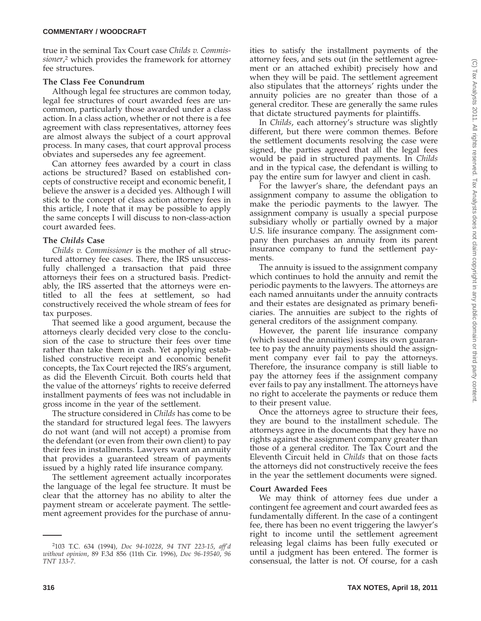true in the seminal Tax Court case *Childs v. Commissioner*, <sup>2</sup> which provides the framework for attorney fee structures.

# **The Class Fee Conundrum**

Although legal fee structures are common today, legal fee structures of court awarded fees are uncommon, particularly those awarded under a class action. In a class action, whether or not there is a fee agreement with class representatives, attorney fees are almost always the subject of a court approval process. In many cases, that court approval process obviates and supersedes any fee agreement.

Can attorney fees awarded by a court in class actions be structured? Based on established concepts of constructive receipt and economic benefit, I believe the answer is a decided yes. Although I will stick to the concept of class action attorney fees in this article, I note that it may be possible to apply the same concepts I will discuss to non-class-action court awarded fees.

# **The** *Childs* **Case**

*Childs v. Commissioner* is the mother of all structured attorney fee cases. There, the IRS unsuccessfully challenged a transaction that paid three attorneys their fees on a structured basis. Predictably, the IRS asserted that the attorneys were entitled to all the fees at settlement, so had constructively received the whole stream of fees for tax purposes.

That seemed like a good argument, because the attorneys clearly decided very close to the conclusion of the case to structure their fees over time rather than take them in cash. Yet applying established constructive receipt and economic benefit concepts, the Tax Court rejected the IRS's argument, as did the Eleventh Circuit. Both courts held that the value of the attorneys' rights to receive deferred installment payments of fees was not includable in gross income in the year of the settlement.

The structure considered in *Childs* has come to be the standard for structured legal fees. The lawyers do not want (and will not accept) a promise from the defendant (or even from their own client) to pay their fees in installments. Lawyers want an annuity that provides a guaranteed stream of payments issued by a highly rated life insurance company.

The settlement agreement actually incorporates the language of the legal fee structure. It must be clear that the attorney has no ability to alter the payment stream or accelerate payment. The settlement agreement provides for the purchase of annuities to satisfy the installment payments of the attorney fees, and sets out (in the settlement agreement or an attached exhibit) precisely how and when they will be paid. The settlement agreement also stipulates that the attorneys' rights under the annuity policies are no greater than those of a general creditor. These are generally the same rules that dictate structured payments for plaintiffs.

In *Childs*, each attorney's structure was slightly different, but there were common themes. Before the settlement documents resolving the case were signed, the parties agreed that all the legal fees would be paid in structured payments. In *Childs* and in the typical case, the defendant is willing to pay the entire sum for lawyer and client in cash.

For the lawyer's share, the defendant pays an assignment company to assume the obligation to make the periodic payments to the lawyer. The assignment company is usually a special purpose subsidiary wholly or partially owned by a major U.S. life insurance company. The assignment company then purchases an annuity from its parent insurance company to fund the settlement payments.

The annuity is issued to the assignment company which continues to hold the annuity and remit the periodic payments to the lawyers. The attorneys are each named annuitants under the annuity contracts and their estates are designated as primary beneficiaries. The annuities are subject to the rights of general creditors of the assignment company.

However, the parent life insurance company (which issued the annuities) issues its own guarantee to pay the annuity payments should the assignment company ever fail to pay the attorneys. Therefore, the insurance company is still liable to pay the attorney fees if the assignment company ever fails to pay any installment. The attorneys have no right to accelerate the payments or reduce them to their present value.

Once the attorneys agree to structure their fees, they are bound to the installment schedule. The attorneys agree in the documents that they have no rights against the assignment company greater than those of a general creditor. The Tax Court and the Eleventh Circuit held in *Childs* that on those facts the attorneys did not constructively receive the fees in the year the settlement documents were signed.

# **Court Awarded Fees**

We may think of attorney fees due under a contingent fee agreement and court awarded fees as fundamentally different. In the case of a contingent fee, there has been no event triggering the lawyer's right to income until the settlement agreement releasing legal claims has been fully executed or until a judgment has been entered. The former is consensual, the latter is not. Of course, for a cash

<sup>2</sup> 103 T.C. 634 (1994), *Doc 94-10228*, *94 TNT 223-15*, *aff'd without opinion*, 89 F.3d 856 (11th Cir. 1996), *Doc 96-19540*, *96 TNT 133-7*.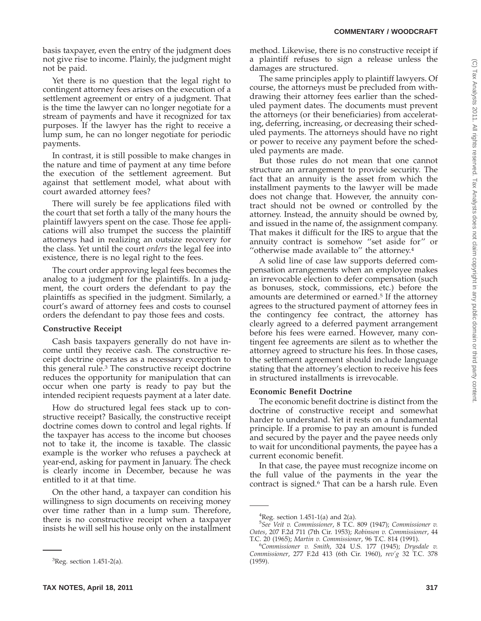basis taxpayer, even the entry of the judgment does not give rise to income. Plainly, the judgment might not be paid.

Yet there is no question that the legal right to contingent attorney fees arises on the execution of a settlement agreement or entry of a judgment. That is the time the lawyer can no longer negotiate for a stream of payments and have it recognized for tax purposes. If the lawyer has the right to receive a lump sum, he can no longer negotiate for periodic payments.

In contrast, it is still possible to make changes in the nature and time of payment at any time before the execution of the settlement agreement. But against that settlement model, what about with court awarded attorney fees?

There will surely be fee applications filed with the court that set forth a tally of the many hours the plaintiff lawyers spent on the case. Those fee applications will also trumpet the success the plaintiff attorneys had in realizing an outsize recovery for the class. Yet until the court *orders* the legal fee into existence, there is no legal right to the fees.

The court order approving legal fees becomes the analog to a judgment for the plaintiffs. In a judgment, the court orders the defendant to pay the plaintiffs as specified in the judgment. Similarly, a court's award of attorney fees and costs to counsel orders the defendant to pay those fees and costs.

#### **Constructive Receipt**

Cash basis taxpayers generally do not have income until they receive cash. The constructive receipt doctrine operates as a necessary exception to this general rule.3 The constructive receipt doctrine reduces the opportunity for manipulation that can occur when one party is ready to pay but the intended recipient requests payment at a later date.

How do structured legal fees stack up to constructive receipt? Basically, the constructive receipt doctrine comes down to control and legal rights. If the taxpayer has access to the income but chooses not to take it, the income is taxable. The classic example is the worker who refuses a paycheck at year-end, asking for payment in January. The check is clearly income in December, because he was entitled to it at that time.

On the other hand, a taxpayer can condition his willingness to sign documents on receiving money over time rather than in a lump sum. Therefore, there is no constructive receipt when a taxpayer insists he will sell his house only on the installment method. Likewise, there is no constructive receipt if a plaintiff refuses to sign a release unless the damages are structured.

The same principles apply to plaintiff lawyers. Of course, the attorneys must be precluded from withdrawing their attorney fees earlier than the scheduled payment dates. The documents must prevent the attorneys (or their beneficiaries) from accelerating, deferring, increasing, or decreasing their scheduled payments. The attorneys should have no right or power to receive any payment before the scheduled payments are made.

But those rules do not mean that one cannot structure an arrangement to provide security. The fact that an annuity is the asset from which the installment payments to the lawyer will be made does not change that. However, the annuity contract should not be owned or controlled by the attorney. Instead, the annuity should be owned by, and issued in the name of, the assignment company. That makes it difficult for the IRS to argue that the annuity contract is somehow ''set aside for'' or "otherwise made available to" the attorney.<sup>4</sup>

A solid line of case law supports deferred compensation arrangements when an employee makes an irrevocable election to defer compensation (such as bonuses, stock, commissions, etc.) before the amounts are determined or earned.5 If the attorney agrees to the structured payment of attorney fees in the contingency fee contract, the attorney has clearly agreed to a deferred payment arrangement before his fees were earned. However, many contingent fee agreements are silent as to whether the attorney agreed to structure his fees. In those cases, the settlement agreement should include language stating that the attorney's election to receive his fees in structured installments is irrevocable.

#### **Economic Benefit Doctrine**

The economic benefit doctrine is distinct from the doctrine of constructive receipt and somewhat harder to understand. Yet it rests on a fundamental principle. If a promise to pay an amount is funded and secured by the payer and the payee needs only to wait for unconditional payments, the payee has a current economic benefit.

In that case, the payee must recognize income on the full value of the payments in the year the contract is signed.6 That can be a harsh rule. Even

 ${}^{3}$ Reg. section 1.451-2(a).

 ${}^{4}$ Reg. section 1.451-1(a) and 2(a).

<sup>5</sup> *See Veit v. Commissioner*, 8 T.C. 809 (1947); *Commissioner v. Oates*, 207 F.2d 711 (7th Cir. 1953); *Robinson v. Commissioner*, 44 T.C. 20 (1965); *Martin v. Commissioner*, 96 T.C. 814 (1991). <sup>6</sup>

*Commissioner v. Smith*, 324 U.S. 177 (1945); *Drysdale v. Commissioner*, 277 F.2d 413 (6th Cir. 1960), *rev'g* 32 T.C. 378 (1959).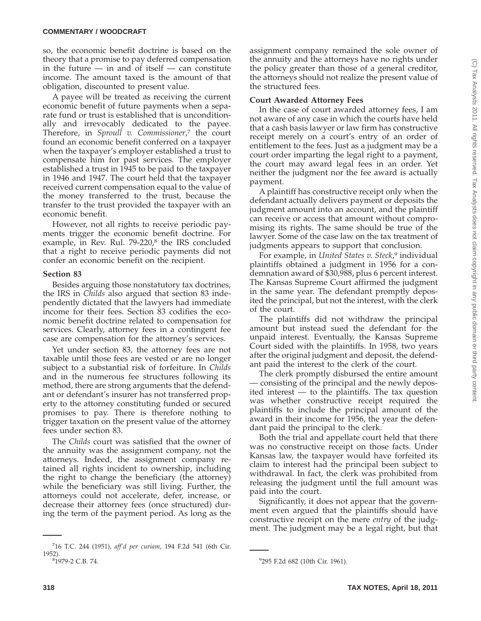so, the economic benefit doctrine is based on the theory that a promise to pay deferred compensation in the future  $-$  in and of itself  $-$  can constitute income. The amount taxed is the amount of that obligation, discounted to present value.

A payee will be treated as receiving the current economic benefit of future payments when a separate fund or trust is established that is unconditionally and irrevocably dedicated to the payee. Therefore, in *Sproull v. Commissioner*, <sup>7</sup> the court found an economic benefit conferred on a taxpayer when the taxpayer's employer established a trust to compensate him for past services. The employer established a trust in 1945 to be paid to the taxpayer in 1946 and 1947. The court held that the taxpayer received current compensation equal to the value of the money transferred to the trust, because the transfer to the trust provided the taxpayer with an economic benefit.

However, not all rights to receive periodic payments trigger the economic benefit doctrine. For example, in Rev. Rul.  $79-220$ <sup>8</sup> the IRS concluded that a right to receive periodic payments did not confer an economic benefit on the recipient.

### **Section 83**

Besides arguing those nonstatutory tax doctrines, the IRS in *Childs* also argued that section 83 independently dictated that the lawyers had immediate income for their fees. Section 83 codifies the economic benefit doctrine related to compensation for services. Clearly, attorney fees in a contingent fee case are compensation for the attorney's services.

Yet under section 83, the attorney fees are not taxable until those fees are vested or are no longer subject to a substantial risk of forfeiture. In *Childs* and in the numerous fee structures following its method, there are strong arguments that the defendant or defendant's insurer has not transferred property to the attorney constituting funded or secured promises to pay. There is therefore nothing to trigger taxation on the present value of the attorney fees under section 83.

The *Childs* court was satisfied that the owner of the annuity was the assignment company, not the attorneys. Indeed, the assignment company retained all rights incident to ownership, including the right to change the beneficiary (the attorney) while the beneficiary was still living. Further, the attorneys could not accelerate, defer, increase, or decrease their attorney fees (once structured) during the term of the payment period. As long as the

assignment company remained the sole owner of the annuity and the attorneys have no rights under the policy greater than those of a general creditor, the attorneys should not realize the present value of the structured fees.

# **Court Awarded Attorney Fees**

In the case of court awarded attorney fees, I am not aware of any case in which the courts have held that a cash basis lawyer or law firm has constructive receipt merely on a court's entry of an order of entitlement to the fees. Just as a judgment may be a court order imparting the legal right to a payment, the court may award legal fees in an order. Yet neither the judgment nor the fee award is actually payment.

A plaintiff has constructive receipt only when the defendant actually delivers payment or deposits the judgment amount into an account, and the plaintiff can receive or access that amount without compromising its rights. The same should be true of the lawyer. Some of the case law on the tax treatment of judgments appears to support that conclusion.

For example, in *United States v. Steck*, <sup>9</sup> individual plaintiffs obtained a judgment in 1956 for a condemnation award of \$30,988, plus 6 percent interest. The Kansas Supreme Court affirmed the judgment in the same year. The defendant promptly deposited the principal, but not the interest, with the clerk of the court.

The plaintiffs did not withdraw the principal amount but instead sued the defendant for the unpaid interest. Eventually, the Kansas Supreme Court sided with the plaintiffs. In 1958, two years after the original judgment and deposit, the defendant paid the interest to the clerk of the court.

The clerk promptly disbursed the entire amount — consisting of the principal and the newly deposited interest — to the plaintiffs. The tax question was whether constructive receipt required the plaintiffs to include the principal amount of the award in their income for 1956, the year the defendant paid the principal to the clerk.

Both the trial and appellate court held that there was no constructive receipt on those facts. Under Kansas law, the taxpayer would have forfeited its claim to interest had the principal been subject to withdrawal. In fact, the clerk was prohibited from releasing the judgment until the full amount was paid into the court.

Significantly, it does not appear that the government even argued that the plaintiffs should have constructive receipt on the mere *entry* of the judgment. The judgment may be a legal right, but that

<sup>7</sup> 16 T.C. 244 (1951), *aff'd per curiam*, 194 F.2d 541 (6th Cir. 1952).

<sup>&</sup>lt;sup>8</sup>1979-2 C.B. 74.

<sup>&</sup>lt;sup>9</sup>295 F.2d 682 (10th Cir. 1961).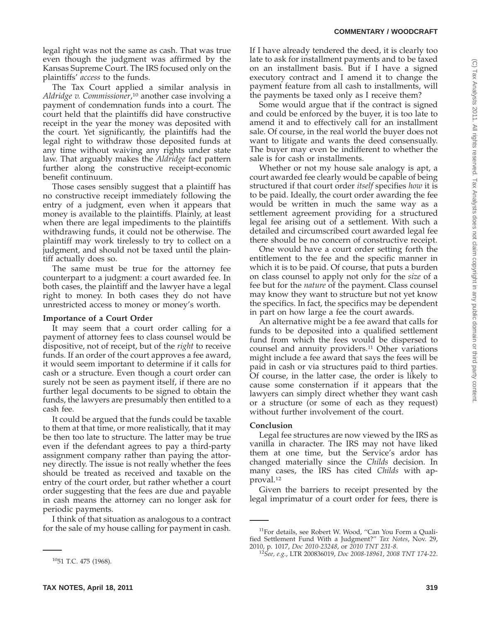legal right was not the same as cash. That was true even though the judgment was affirmed by the Kansas Supreme Court. The IRS focused only on the plaintiffs' *access* to the funds.

The Tax Court applied a similar analysis in *Aldridge v. Commissioner*, <sup>10</sup> another case involving a payment of condemnation funds into a court. The court held that the plaintiffs did have constructive receipt in the year the money was deposited with the court. Yet significantly, the plaintiffs had the legal right to withdraw those deposited funds at any time without waiving any rights under state law. That arguably makes the *Aldridge* fact pattern further along the constructive receipt-economic benefit continuum.

Those cases sensibly suggest that a plaintiff has no constructive receipt immediately following the entry of a judgment, even when it appears that money is available to the plaintiffs. Plainly, at least when there are legal impediments to the plaintiffs withdrawing funds, it could not be otherwise. The plaintiff may work tirelessly to try to collect on a judgment, and should not be taxed until the plaintiff actually does so.

The same must be true for the attorney fee counterpart to a judgment: a court awarded fee. In both cases, the plaintiff and the lawyer have a legal right to money. In both cases they do not have unrestricted access to money or money's worth.

#### **Importance of a Court Order**

It may seem that a court order calling for a payment of attorney fees to class counsel would be dispositive, not of receipt, but of the *right* to receive funds. If an order of the court approves a fee award, it would seem important to determine if it calls for cash or a structure. Even though a court order can surely not be seen as payment itself, if there are no further legal documents to be signed to obtain the funds, the lawyers are presumably then entitled to a cash fee.

It could be argued that the funds could be taxable to them at that time, or more realistically, that it may be then too late to structure. The latter may be true even if the defendant agrees to pay a third-party assignment company rather than paying the attorney directly. The issue is not really whether the fees should be treated as received and taxable on the entry of the court order, but rather whether a court order suggesting that the fees are due and payable in cash means the attorney can no longer ask for periodic payments.

I think of that situation as analogous to a contract for the sale of my house calling for payment in cash.

Some would argue that if the contract is signed and could be enforced by the buyer, it is too late to amend it and to effectively call for an installment sale. Of course, in the real world the buyer does not want to litigate and wants the deed consensually. The buyer may even be indifferent to whether the sale is for cash or installments.

Whether or not my house sale analogy is apt, a court awarded fee clearly would be capable of being structured if that court order *itself* specifies *how* it is to be paid. Ideally, the court order awarding the fee would be written in much the same way as a settlement agreement providing for a structured legal fee arising out of a settlement. With such a detailed and circumscribed court awarded legal fee there should be no concern of constructive receipt.

One would have a court order setting forth the entitlement to the fee and the specific manner in which it is to be paid. Of course, that puts a burden on class counsel to apply not only for the *size* of a fee but for the *nature* of the payment. Class counsel may know they want to structure but not yet know the specifics. In fact, the specifics may be dependent in part on how large a fee the court awards.

An alternative might be a fee award that calls for funds to be deposited into a qualified settlement fund from which the fees would be dispersed to counsel and annuity providers.<sup>11</sup> Other variations might include a fee award that says the fees will be paid in cash or via structures paid to third parties. Of course, in the latter case, the order is likely to cause some consternation if it appears that the lawyers can simply direct whether they want cash or a structure (or some of each as they request) without further involvement of the court.

# **Conclusion**

Legal fee structures are now viewed by the IRS as vanilla in character. The IRS may not have liked them at one time, but the Service's ardor has changed materially since the *Childs* decision. In many cases, the IRS has cited *Childs* with approval.12

Given the barriers to receipt presented by the legal imprimatur of a court order for fees, there is

(C) Tax Analysts 2011. All rights reserved. Tax Analysts does not claim copyright in any public domain or third party content.(C) Tax Analysts 2011. All rights reserved. Tax Analysts does not claim copyright in any public domain or third party content

1051 T.C. 475 (1968).

If I have already tendered the deed, it is clearly too late to ask for installment payments and to be taxed on an installment basis. But if I have a signed executory contract and I amend it to change the payment feature from all cash to installments, will the payments be taxed only as I receive them?

<sup>&</sup>lt;sup>11</sup>For details, see Robert W. Wood, "Can You Form a Qualified Settlement Fund With a Judgment?'' *Tax Notes*, Nov. 29,

<sup>2010,</sup> p. 1017, *Doc 2010-23248*, or *2010 TNT 231-8*. <sup>12</sup>*See, e.g.*, LTR 200836019, *Doc 2008-18961*, *2008 TNT 174-22*.